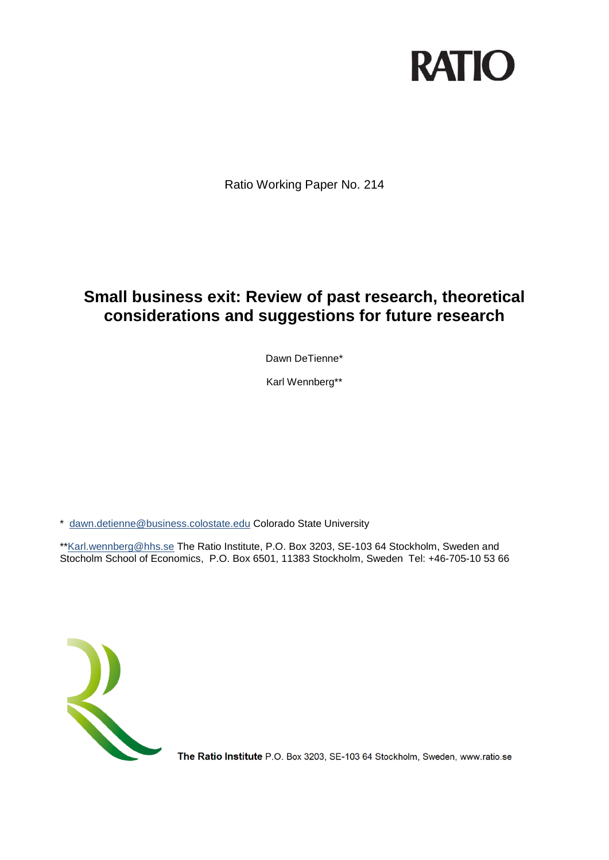# **RATIO**

Ratio Working Paper No. 214

# **Small business exit: Review of past research, theoretical considerations and suggestions for future research**

Dawn DeTienne\*

Karl Wennberg\*\*

\* [dawn.detienne@business.colostate.edu](mailto:dawn.detienne@business.colostate.edu) Colorado State University

\*[\\*Karl.wennberg@hhs.se](mailto:Karl.wennberg@hhs.se) The Ratio Institute, P.O. Box 3203, SE-103 64 Stockholm, Sweden and Stocholm School of Economics, P.O. Box 6501, 11383 Stockholm, Sweden Tel: +46-705-10 53 66



The Ratio Institute P.O. Box 3203, SE-103 64 Stockholm, Sweden, www.ratio.se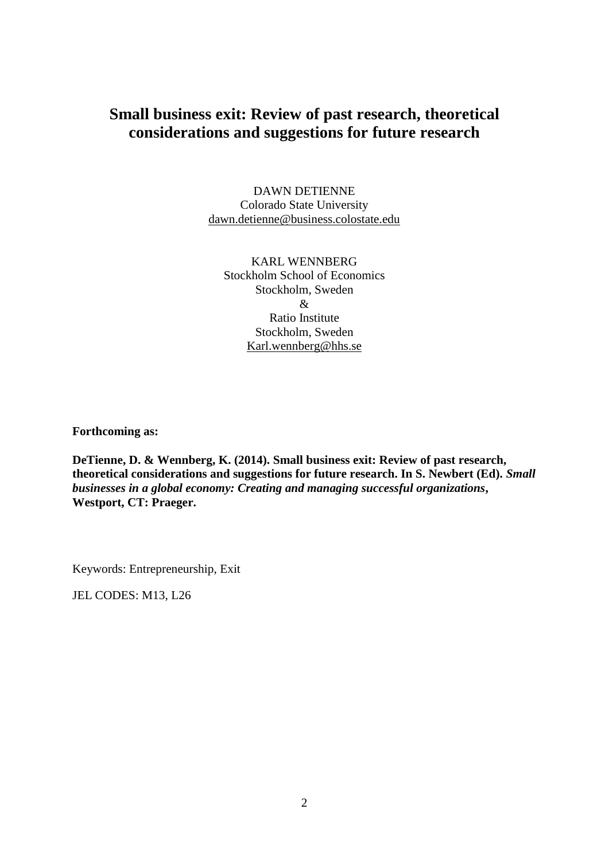# **Small business exit: Review of past research, theoretical considerations and suggestions for future research**

DAWN DETIENNE Colorado State University [dawn.detienne@business.colostate.edu](mailto:dawn.detienne@business.colostate.edu)

KARL WENNBERG Stockholm School of Economics Stockholm, Sweden & Ratio Institute Stockholm, Sweden [Karl.wennberg@hhs.se](mailto:Karl.wennberg@hhs.se)

**Forthcoming as:**

**DeTienne, D. & Wennberg, K. (2014). Small business exit: Review of past research, theoretical considerations and suggestions for future research. In S. Newbert (Ed).** *Small businesses in a global economy: Creating and managing successful organizations***, Westport, CT: Praeger.**

Keywords: Entrepreneurship, Exit

JEL CODES: M13, L26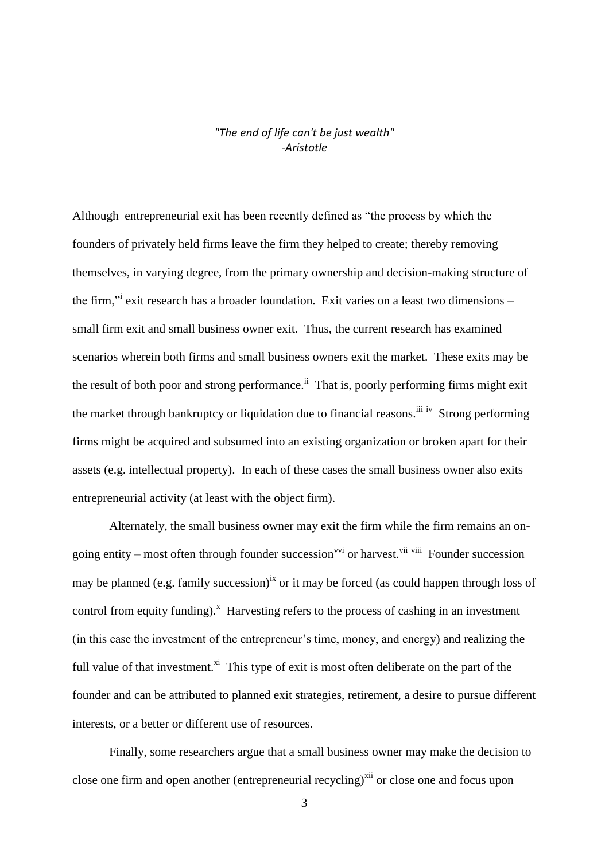#### *"The end of life can't be just wealth" -Aristotle*

Although entrepreneurial exit has been recently defined as "the process by which the founders of privately held firms leave the firm they helped to create; thereby removing themselves, in varying degree, from the primary ownership and decision-making structure of the firm," exit research has a broader foundation. Exit varies on a least two dimensions small firm exit and small business owner exit. Thus, the current research has examined scenarios wherein both firms and small business owners exit the market. These exits may be the result of both poor and strong performance.<sup>ii</sup> That is, poorly performing firms might exit the market through bankruptcy or liquidation due to financial reasons.<sup>iii iv</sup> Strong performing firms might be acquired and subsumed into an existing organization or broken apart for their assets (e.g. intellectual property). In each of these cases the small business owner also exits entrepreneurial activity (at least with the object firm).

Alternately, the small business owner may exit the firm while the firm remains an ongoing entity – most often through founder succession<sup>vvi</sup> or harvest.<sup>vii viii</sup> Founder succession may be planned (e.g. family succession)<sup>ix</sup> or it may be forced (as could happen through loss of control from equity funding). $^x$  Harvesting refers to the process of cashing in an investment (in this case the investment of the entrepreneur's time, money, and energy) and realizing the full value of that investment.<sup>xi</sup> This type of exit is most often deliberate on the part of the founder and can be attributed to planned exit strategies, retirement, a desire to pursue different interests, or a better or different use of resources.

Finally, some researchers argue that a small business owner may make the decision to close one firm and open another (entrepreneurial recycling)<sup>xii</sup> or close one and focus upon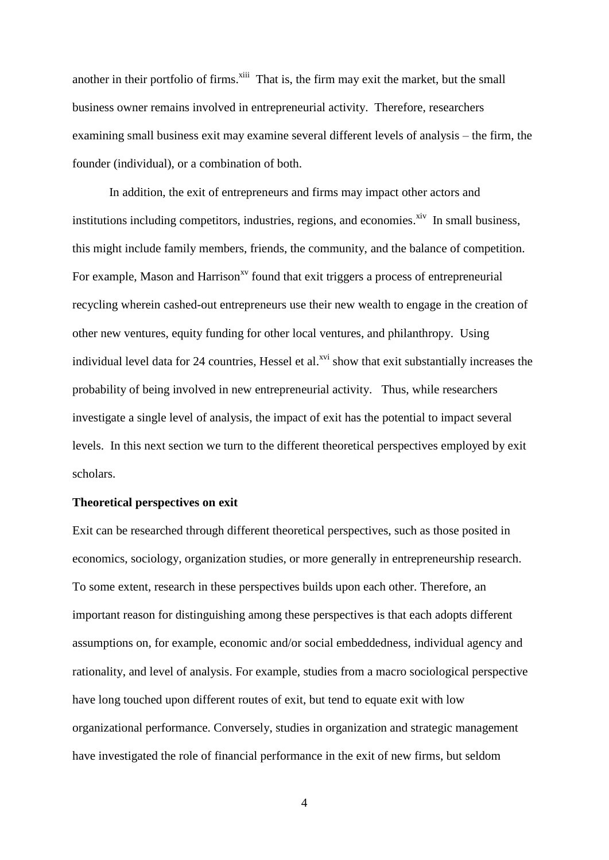another in their portfolio of firms.<sup>xiii</sup> That is, the firm may exit the market, but the small business owner remains involved in entrepreneurial activity. Therefore, researchers examining small business exit may examine several different levels of analysis – the firm, the founder (individual), or a combination of both.

In addition, the exit of entrepreneurs and firms may impact other actors and institutions including competitors, industries, regions, and economies.<sup>xiv</sup> In small business, this might include family members, friends, the community, and the balance of competition. For example, Mason and Harrison<sup>xv</sup> found that exit triggers a process of entrepreneurial recycling wherein cashed-out entrepreneurs use their new wealth to engage in the creation of other new ventures, equity funding for other local ventures, and philanthropy. Using individual level data for 24 countries, Hessel et al. $^{xvi}$  show that exit substantially increases the probability of being involved in new entrepreneurial activity. Thus, while researchers investigate a single level of analysis, the impact of exit has the potential to impact several levels. In this next section we turn to the different theoretical perspectives employed by exit scholars.

#### **Theoretical perspectives on exit**

Exit can be researched through different theoretical perspectives, such as those posited in economics, sociology, organization studies, or more generally in entrepreneurship research. To some extent, research in these perspectives builds upon each other. Therefore, an important reason for distinguishing among these perspectives is that each adopts different assumptions on, for example, economic and/or social embeddedness, individual agency and rationality, and level of analysis. For example, studies from a macro sociological perspective have long touched upon different routes of exit, but tend to equate exit with low organizational performance. Conversely, studies in organization and strategic management have investigated the role of financial performance in the exit of new firms, but seldom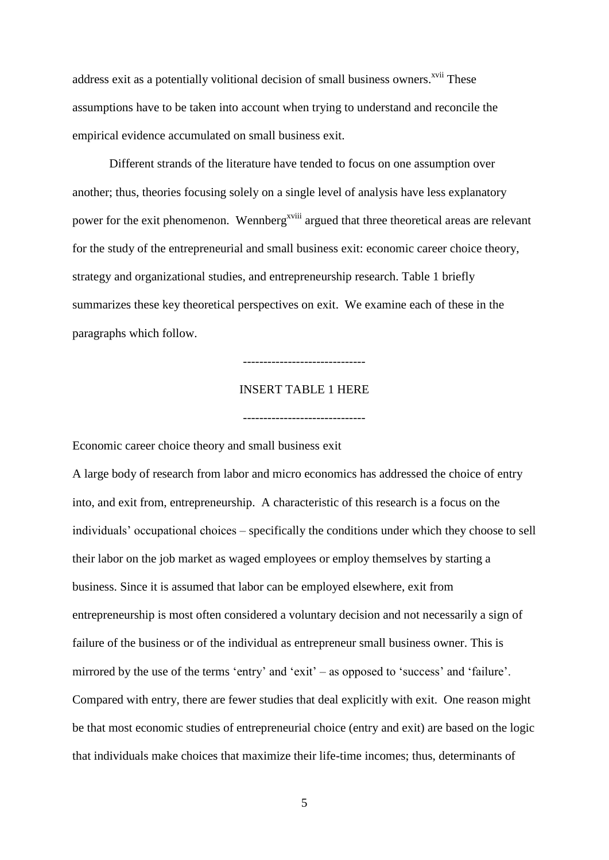address exit as a potentially volitional decision of small business owners.<sup>xvii</sup> These assumptions have to be taken into account when trying to understand and reconcile the empirical evidence accumulated on small business exit.

Different strands of the literature have tended to focus on one assumption over another; thus, theories focusing solely on a single level of analysis have less explanatory power for the exit phenomenon. Wennberg<sup>xviii</sup> argued that three theoretical areas are relevant for the study of the entrepreneurial and small business exit: economic career choice theory, strategy and organizational studies, and entrepreneurship research. Table 1 briefly summarizes these key theoretical perspectives on exit. We examine each of these in the paragraphs which follow.

# ------------------------------

# INSERT TABLE 1 HERE

------------------------------

Economic career choice theory and small business exit

A large body of research from labor and micro economics has addressed the choice of entry into, and exit from, entrepreneurship. A characteristic of this research is a focus on the individuals' occupational choices – specifically the conditions under which they choose to sell their labor on the job market as waged employees or employ themselves by starting a business. Since it is assumed that labor can be employed elsewhere, exit from entrepreneurship is most often considered a voluntary decision and not necessarily a sign of failure of the business or of the individual as entrepreneur small business owner. This is mirrored by the use of the terms 'entry' and 'exit' – as opposed to 'success' and 'failure'. Compared with entry, there are fewer studies that deal explicitly with exit. One reason might be that most economic studies of entrepreneurial choice (entry and exit) are based on the logic that individuals make choices that maximize their life-time incomes; thus, determinants of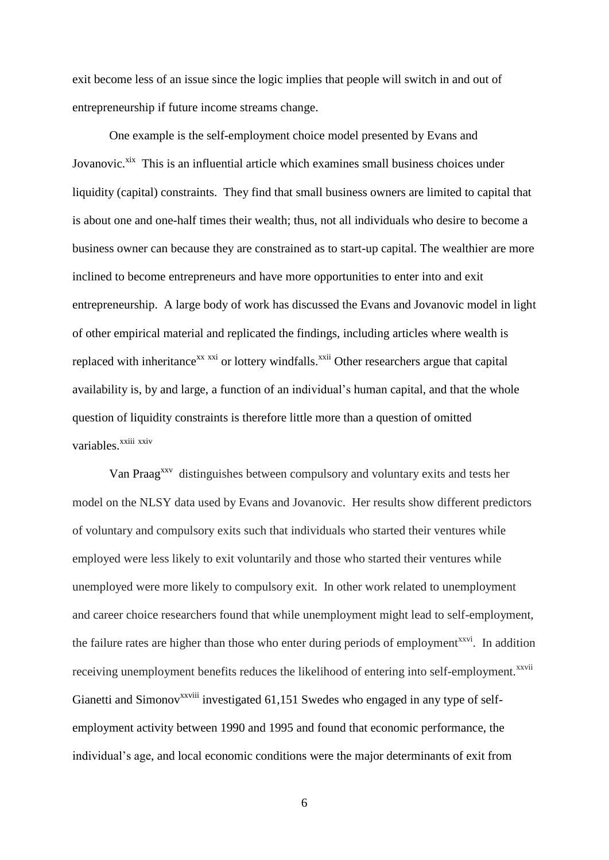exit become less of an issue since the logic implies that people will switch in and out of entrepreneurship if future income streams change.

One example is the self-employment choice model presented by Evans and Jovanovic.<sup>xix</sup> This is an influential article which examines small business choices under liquidity (capital) constraints. They find that small business owners are limited to capital that is about one and one-half times their wealth; thus, not all individuals who desire to become a business owner can because they are constrained as to start-up capital. The wealthier are more inclined to become entrepreneurs and have more opportunities to enter into and exit entrepreneurship. A large body of work has discussed the Evans and Jovanovic model in light of other empirical material and replicated the findings, including articles where wealth is replaced with inheritance<sup>xx xxi</sup> or lottery windfalls.<sup>xxii</sup> Other researchers argue that capital availability is, by and large, a function of an individual's human capital, and that the whole question of liquidity constraints is therefore little more than a question of omitted variables.<sup>xxiii</sup> xxiv

Van Praag<sup>xxv</sup> distinguishes between compulsory and voluntary exits and tests her model on the NLSY data used by Evans and Jovanovic. Her results show different predictors of voluntary and compulsory exits such that individuals who started their ventures while employed were less likely to exit voluntarily and those who started their ventures while unemployed were more likely to compulsory exit. In other work related to unemployment and career choice researchers found that while unemployment might lead to self-employment, the failure rates are higher than those who enter during periods of employment<sup>xxvi</sup>. In addition receiving unemployment benefits reduces the likelihood of entering into self-employment.<sup>xxvii</sup> Gianetti and Simonov<sup>xxviii</sup> investigated  $61,151$  Swedes who engaged in any type of selfemployment activity between 1990 and 1995 and found that economic performance, the individual's age, and local economic conditions were the major determinants of exit from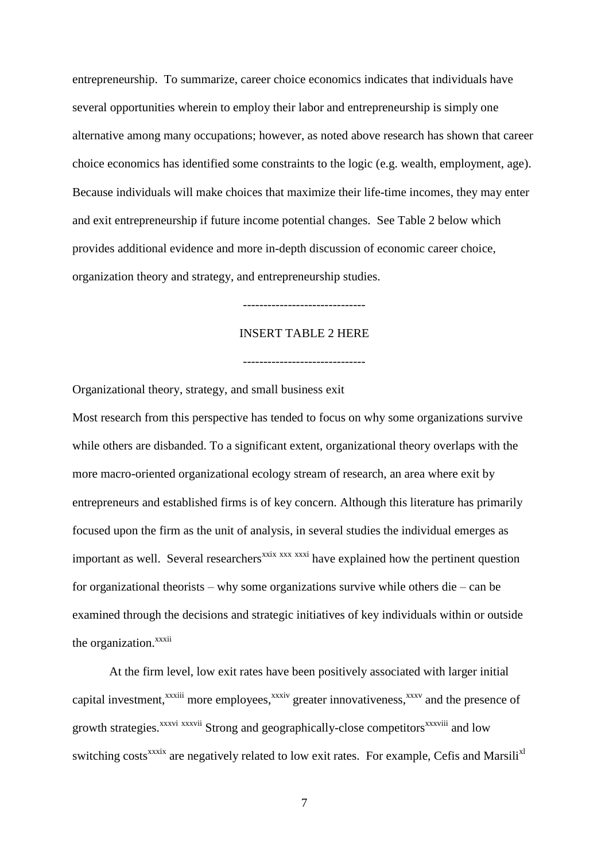entrepreneurship. To summarize, career choice economics indicates that individuals have several opportunities wherein to employ their labor and entrepreneurship is simply one alternative among many occupations; however, as noted above research has shown that career choice economics has identified some constraints to the logic (e.g. wealth, employment, age). Because individuals will make choices that maximize their life-time incomes, they may enter and exit entrepreneurship if future income potential changes. See Table 2 below which provides additional evidence and more in-depth discussion of economic career choice, organization theory and strategy, and entrepreneurship studies.

#### ------------------------------

#### INSERT TABLE 2 HERE

------------------------------

Organizational theory, strategy, and small business exit

Most research from this perspective has tended to focus on why some organizations survive while others are disbanded. To a significant extent, organizational theory overlaps with the more macro-oriented organizational ecology stream of research, an area where exit by entrepreneurs and established firms is of key concern. Although this literature has primarily focused upon the firm as the unit of analysis, in several studies the individual emerges as important as well. Several researchers<sup> $x$ xix</sup>  $x$ <sup>xxxi</sup> have explained how the pertinent question for organizational theorists – why some organizations survive while others die – can be examined through the decisions and strategic initiatives of key individuals within or outside the organization.<sup>xxxii</sup>

At the firm level, low exit rates have been positively associated with larger initial capital investment,<sup>xxxiii</sup> more employees,<sup>xxxiv</sup> greater innovativeness,<sup>xxxv</sup> and the presence of growth strategies.<sup>xxxvi</sup> xxxvii Strong and geographically-close competitors<sup>xxxviii</sup> and low switching costs<sup>xxxix</sup> are negatively related to low exit rates. For example, Cefis and Marsili<sup>x1</sup>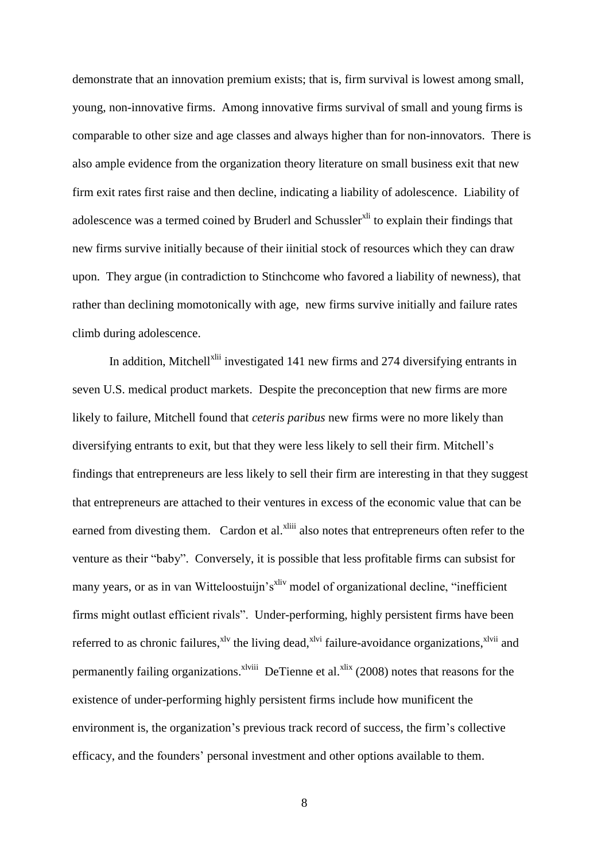demonstrate that an innovation premium exists; that is, firm survival is lowest among small, young, non-innovative firms. Among innovative firms survival of small and young firms is comparable to other size and age classes and always higher than for non-innovators. There is also ample evidence from the organization theory literature on small business exit that new firm exit rates first raise and then decline, indicating a liability of adolescence. Liability of adolescence was a termed coined by Bruderl and Schussler<sup>xli</sup> to explain their findings that new firms survive initially because of their iinitial stock of resources which they can draw upon. They argue (in contradiction to Stinchcome who favored a liability of newness), that rather than declining momotonically with age, new firms survive initially and failure rates climb during adolescence.

In addition, Mitchell<sup>xlii</sup> investigated 141 new firms and 274 diversifying entrants in seven U.S. medical product markets. Despite the preconception that new firms are more likely to failure, Mitchell found that *ceteris paribus* new firms were no more likely than diversifying entrants to exit, but that they were less likely to sell their firm. Mitchell's findings that entrepreneurs are less likely to sell their firm are interesting in that they suggest that entrepreneurs are attached to their ventures in excess of the economic value that can be earned from divesting them. Cardon et al.<sup>xliii</sup> also notes that entrepreneurs often refer to the venture as their "baby". Conversely, it is possible that less profitable firms can subsist for many years, or as in van Witteloostuijn's<sup>xliv</sup> model of organizational decline, "inefficient" firms might outlast efficient rivals". Under-performing, highly persistent firms have been referred to as chronic failures,<sup>xlv</sup> the living dead,<sup>xlvi</sup> failure-avoidance organizations,<sup>xlvii</sup> and permanently failing organizations. <sup>Xlviii</sup> DeTienne et al.<sup>xlix</sup> (2008) notes that reasons for the existence of under-performing highly persistent firms include how munificent the environment is, the organization's previous track record of success, the firm's collective efficacy, and the founders' personal investment and other options available to them.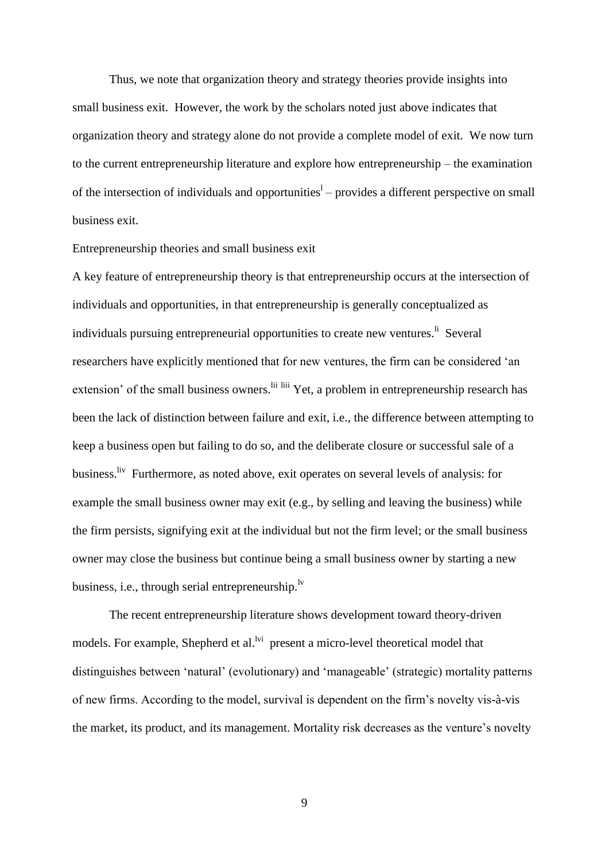Thus, we note that organization theory and strategy theories provide insights into small business exit. However, the work by the scholars noted just above indicates that organization theory and strategy alone do not provide a complete model of exit. We now turn to the current entrepreneurship literature and explore how entrepreneurship – the examination of the intersection of individuals and opportunities<sup>1</sup> – provides a different perspective on small business exit.

#### Entrepreneurship theories and small business exit

A key feature of entrepreneurship theory is that entrepreneurship occurs at the intersection of individuals and opportunities, in that entrepreneurship is generally conceptualized as individuals pursuing entrepreneurial opportunities to create new ventures.<sup>1i</sup> Several researchers have explicitly mentioned that for new ventures, the firm can be considered 'an extension' of the small business owners.<sup>Iii liii</sup> Yet, a problem in entrepreneurship research has been the lack of distinction between failure and exit, i.e., the difference between attempting to keep a business open but failing to do so, and the deliberate closure or successful sale of a business.<sup>liv</sup> Furthermore, as noted above, exit operates on several levels of analysis: for example the small business owner may exit (e.g., by selling and leaving the business) while the firm persists, signifying exit at the individual but not the firm level; or the small business owner may close the business but continue being a small business owner by starting a new business, i.e., through serial entrepreneurship.<sup>1v</sup>

The recent entrepreneurship literature shows development toward theory-driven models. For example, Shepherd et al.<sup>lvi</sup> present a micro-level theoretical model that distinguishes between 'natural' (evolutionary) and 'manageable' (strategic) mortality patterns of new firms. According to the model, survival is dependent on the firm's novelty vis-à-vis the market, its product, and its management. Mortality risk decreases as the venture's novelty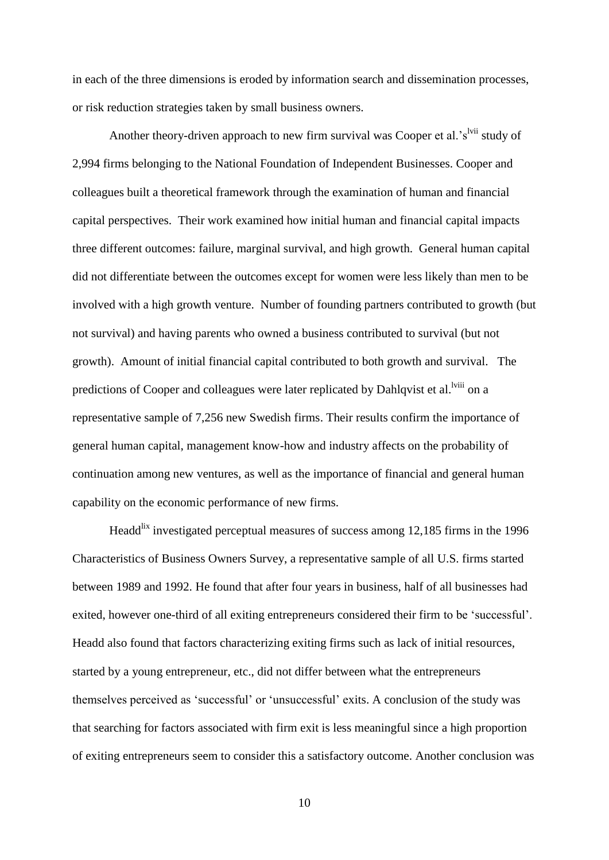in each of the three dimensions is eroded by information search and dissemination processes, or risk reduction strategies taken by small business owners.

Another theory-driven approach to new firm survival was Cooper et al.'s<sup>lvii</sup> study of 2,994 firms belonging to the National Foundation of Independent Businesses. Cooper and colleagues built a theoretical framework through the examination of human and financial capital perspectives. Their work examined how initial human and financial capital impacts three different outcomes: failure, marginal survival, and high growth. General human capital did not differentiate between the outcomes except for women were less likely than men to be involved with a high growth venture. Number of founding partners contributed to growth (but not survival) and having parents who owned a business contributed to survival (but not growth). Amount of initial financial capital contributed to both growth and survival. The predictions of Cooper and colleagues were later replicated by Dahlqvist et al.<sup>lviii</sup> on a representative sample of 7,256 new Swedish firms. Their results confirm the importance of general human capital, management know-how and industry affects on the probability of continuation among new ventures, as well as the importance of financial and general human capability on the economic performance of new firms.

Headd<sup>lix</sup> investigated perceptual measures of success among 12,185 firms in the 1996 Characteristics of Business Owners Survey, a representative sample of all U.S. firms started between 1989 and 1992. He found that after four years in business, half of all businesses had exited, however one-third of all exiting entrepreneurs considered their firm to be 'successful'. Headd also found that factors characterizing exiting firms such as lack of initial resources, started by a young entrepreneur, etc., did not differ between what the entrepreneurs themselves perceived as 'successful' or 'unsuccessful' exits. A conclusion of the study was that searching for factors associated with firm exit is less meaningful since a high proportion of exiting entrepreneurs seem to consider this a satisfactory outcome. Another conclusion was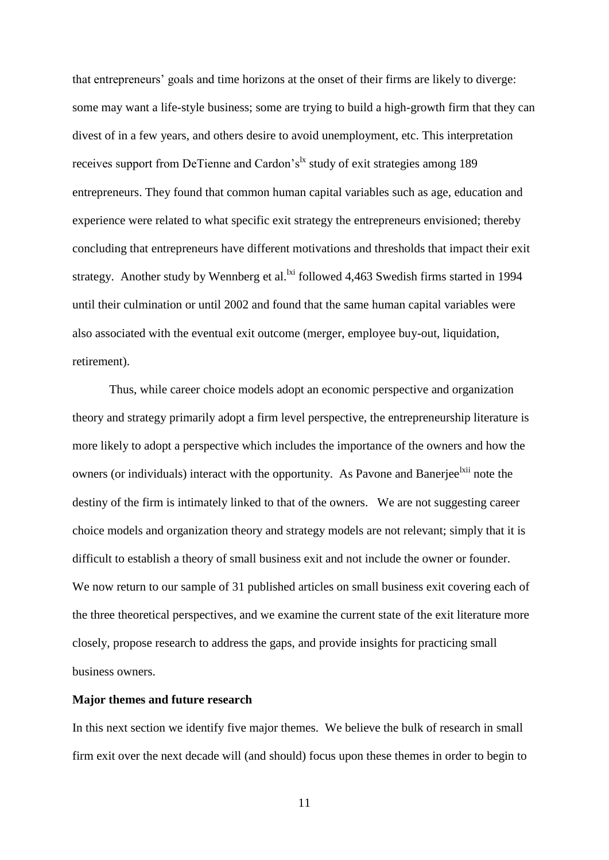that entrepreneurs' goals and time horizons at the onset of their firms are likely to diverge: some may want a life-style business; some are trying to build a high-growth firm that they can divest of in a few years, and others desire to avoid unemployment, etc. This interpretation receives support from DeTienne and Cardon's<sup> $k$ </sup> study of exit strategies among 189 entrepreneurs. They found that common human capital variables such as age, education and experience were related to what specific exit strategy the entrepreneurs envisioned; thereby concluding that entrepreneurs have different motivations and thresholds that impact their exit strategy. Another study by Wennberg et al. $\frac{1}{x}$  followed 4,463 Swedish firms started in 1994 until their culmination or until 2002 and found that the same human capital variables were also associated with the eventual exit outcome (merger, employee buy-out, liquidation, retirement).

Thus, while career choice models adopt an economic perspective and organization theory and strategy primarily adopt a firm level perspective, the entrepreneurship literature is more likely to adopt a perspective which includes the importance of the owners and how the owners (or individuals) interact with the opportunity. As Pavone and Banerjee<sup>lxii</sup> note the destiny of the firm is intimately linked to that of the owners. We are not suggesting career choice models and organization theory and strategy models are not relevant; simply that it is difficult to establish a theory of small business exit and not include the owner or founder. We now return to our sample of 31 published articles on small business exit covering each of the three theoretical perspectives, and we examine the current state of the exit literature more closely, propose research to address the gaps, and provide insights for practicing small business owners.

#### **Major themes and future research**

In this next section we identify five major themes. We believe the bulk of research in small firm exit over the next decade will (and should) focus upon these themes in order to begin to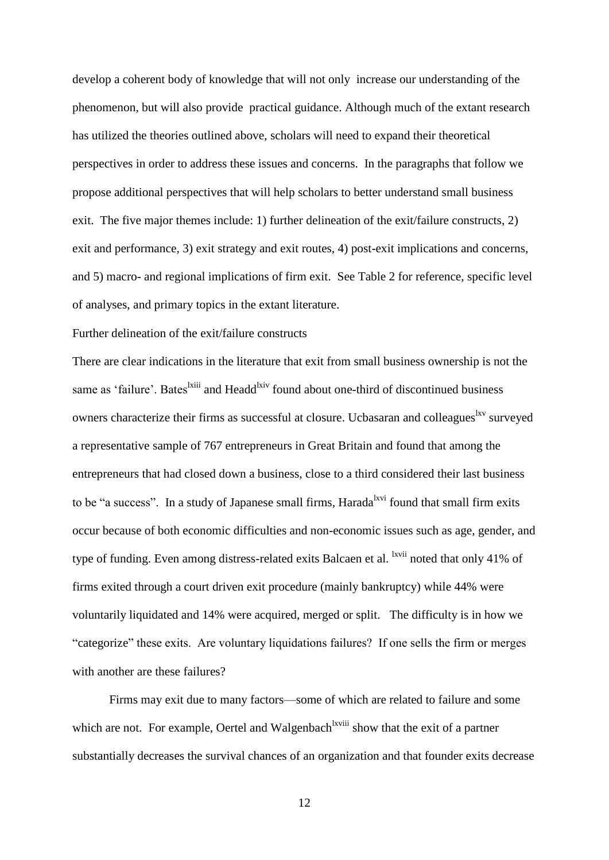develop a coherent body of knowledge that will not only increase our understanding of the phenomenon, but will also provide practical guidance. Although much of the extant research has utilized the theories outlined above, scholars will need to expand their theoretical perspectives in order to address these issues and concerns. In the paragraphs that follow we propose additional perspectives that will help scholars to better understand small business exit. The five major themes include: 1) further delineation of the exit/failure constructs, 2) exit and performance, 3) exit strategy and exit routes, 4) post-exit implications and concerns, and 5) macro- and regional implications of firm exit. See Table 2 for reference, specific level of analyses, and primary topics in the extant literature.

#### Further delineation of the exit/failure constructs

There are clear indications in the literature that exit from small business ownership is not the same as 'failure'. Bates<sup>lxiii</sup> and Headd<sup>lxiv</sup> found about one-third of discontinued business owners characterize their firms as successful at closure. Ucbasaran and colleagues <sup>lxv</sup> surveyed a representative sample of 767 entrepreneurs in Great Britain and found that among the entrepreneurs that had closed down a business, close to a third considered their last business to be "a success". In a study of Japanese small firms, Harada <sup>lxvi</sup> found that small firm exits occur because of both economic difficulties and non-economic issues such as age, gender, and type of funding. Even among distress-related exits Balcaen et al. <sup>lxvii</sup> noted that only 41% of firms exited through a court driven exit procedure (mainly bankruptcy) while 44% were voluntarily liquidated and 14% were acquired, merged or split. The difficulty is in how we "categorize" these exits. Are voluntary liquidations failures? If one sells the firm or merges with another are these failures?

Firms may exit due to many factors—some of which are related to failure and some which are not. For example, Oertel and Walgenbach<sup>lxviii</sup> show that the exit of a partner substantially decreases the survival chances of an organization and that founder exits decrease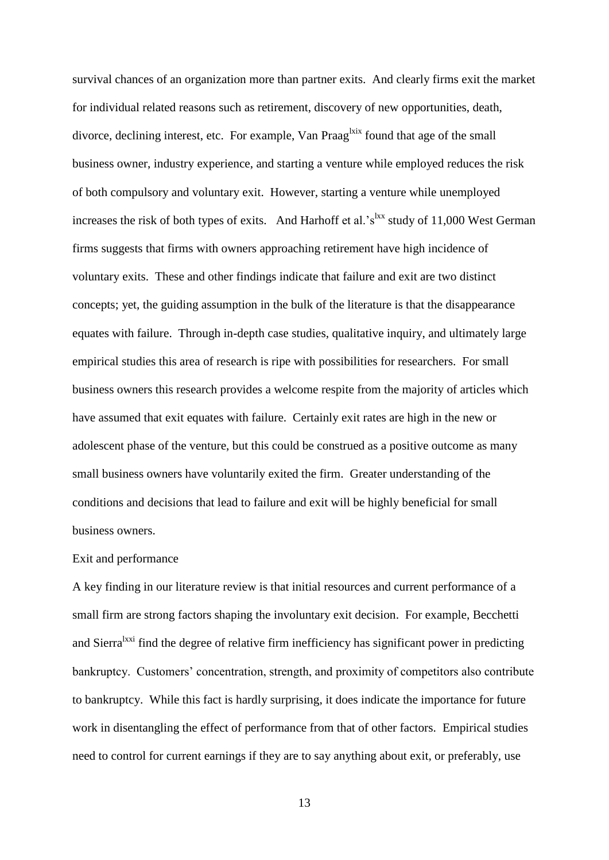survival chances of an organization more than partner exits. And clearly firms exit the market for individual related reasons such as retirement, discovery of new opportunities, death, divorce, declining interest, etc. For example, Van Praag<sup>lxix</sup> found that age of the small business owner, industry experience, and starting a venture while employed reduces the risk of both compulsory and voluntary exit. However, starting a venture while unemployed increases the risk of both types of exits. And Harhoff et al.'s<sup>lxx</sup> study of 11,000 West German firms suggests that firms with owners approaching retirement have high incidence of voluntary exits. These and other findings indicate that failure and exit are two distinct concepts; yet, the guiding assumption in the bulk of the literature is that the disappearance equates with failure. Through in-depth case studies, qualitative inquiry, and ultimately large empirical studies this area of research is ripe with possibilities for researchers. For small business owners this research provides a welcome respite from the majority of articles which have assumed that exit equates with failure. Certainly exit rates are high in the new or adolescent phase of the venture, but this could be construed as a positive outcome as many small business owners have voluntarily exited the firm. Greater understanding of the conditions and decisions that lead to failure and exit will be highly beneficial for small business owners.

#### Exit and performance

A key finding in our literature review is that initial resources and current performance of a small firm are strong factors shaping the involuntary exit decision. For example, Becchetti and Sierra<sup>lxxi</sup> find the degree of relative firm inefficiency has significant power in predicting bankruptcy. Customers' concentration, strength, and proximity of competitors also contribute to bankruptcy. While this fact is hardly surprising, it does indicate the importance for future work in disentangling the effect of performance from that of other factors. Empirical studies need to control for current earnings if they are to say anything about exit, or preferably, use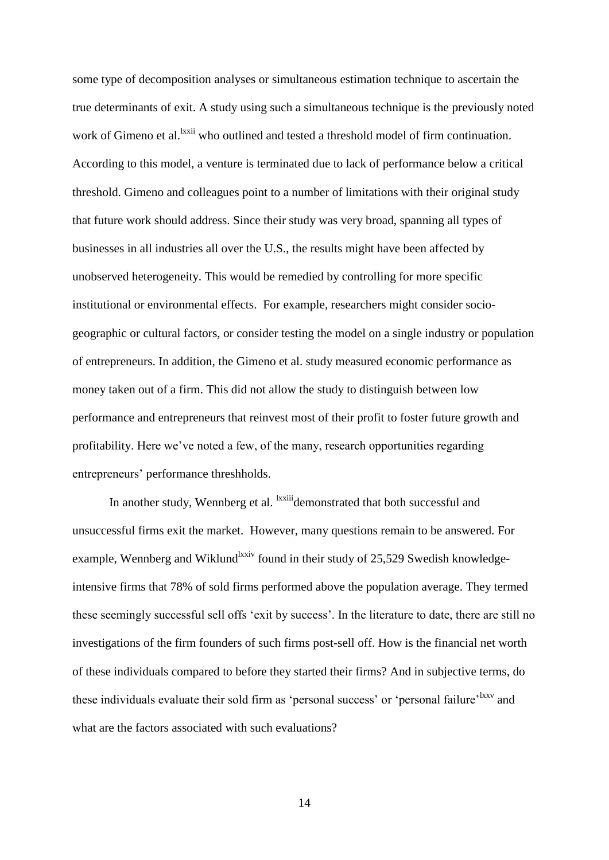some type of decomposition analyses or simultaneous estimation technique to ascertain the true determinants of exit. A study using such a simultaneous technique is the previously noted work of Gimeno et al.<sup>lxxii</sup> who outlined and tested a threshold model of firm continuation. According to this model, a venture is terminated due to lack of performance below a critical threshold. Gimeno and colleagues point to a number of limitations with their original study that future work should address. Since their study was very broad, spanning all types of businesses in all industries all over the U.S., the results might have been affected by unobserved heterogeneity. This would be remedied by controlling for more specific institutional or environmental effects. For example, researchers might consider sociogeographic or cultural factors, or consider testing the model on a single industry or population of entrepreneurs. In addition, the Gimeno et al. study measured economic performance as money taken out of a firm. This did not allow the study to distinguish between low performance and entrepreneurs that reinvest most of their profit to foster future growth and profitability. Here we've noted a few, of the many, research opportunities regarding entrepreneurs' performance threshholds.

In another study, Wennberg et al. <sup>Ixxiii</sup>demonstrated that both successful and unsuccessful firms exit the market. However, many questions remain to be answered. For example, Wennberg and Wiklund<sup>1xxiv</sup> found in their study of 25,529 Swedish knowledgeintensive firms that 78% of sold firms performed above the population average. They termed these seemingly successful sell offs 'exit by success'. In the literature to date, there are still no investigations of the firm founders of such firms post-sell off. How is the financial net worth of these individuals compared to before they started their firms? And in subjective terms, do these individuals evaluate their sold firm as 'personal success' or 'personal failure'<sup>lxxv</sup> and what are the factors associated with such evaluations?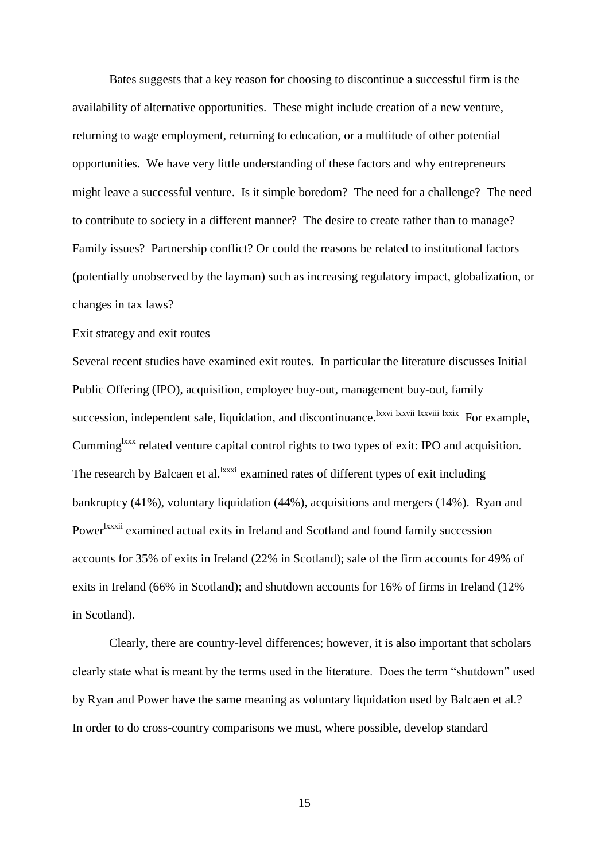Bates suggests that a key reason for choosing to discontinue a successful firm is the availability of alternative opportunities. These might include creation of a new venture, returning to wage employment, returning to education, or a multitude of other potential opportunities. We have very little understanding of these factors and why entrepreneurs might leave a successful venture. Is it simple boredom? The need for a challenge? The need to contribute to society in a different manner? The desire to create rather than to manage? Family issues? Partnership conflict? Or could the reasons be related to institutional factors (potentially unobserved by the layman) such as increasing regulatory impact, globalization, or changes in tax laws?

#### Exit strategy and exit routes

Several recent studies have examined exit routes. In particular the literature discusses Initial Public Offering (IPO), acquisition, employee buy-out, management buy-out, family succession, independent sale, liquidation, and discontinuance. <sup>Ixxvi</sup> lxxvii lxxviii lxxix For example, Cumming<sup>lxxx</sup> related venture capital control rights to two types of exit: IPO and acquisition. The research by Balcaen et al. <sup>Ixxxi</sup> examined rates of different types of exit including bankruptcy (41%), voluntary liquidation (44%), acquisitions and mergers (14%). Ryan and Power<sup>lxxxii</sup> examined actual exits in Ireland and Scotland and found family succession accounts for 35% of exits in Ireland (22% in Scotland); sale of the firm accounts for 49% of exits in Ireland (66% in Scotland); and shutdown accounts for 16% of firms in Ireland (12% in Scotland).

Clearly, there are country-level differences; however, it is also important that scholars clearly state what is meant by the terms used in the literature. Does the term "shutdown" used by Ryan and Power have the same meaning as voluntary liquidation used by Balcaen et al.? In order to do cross-country comparisons we must, where possible, develop standard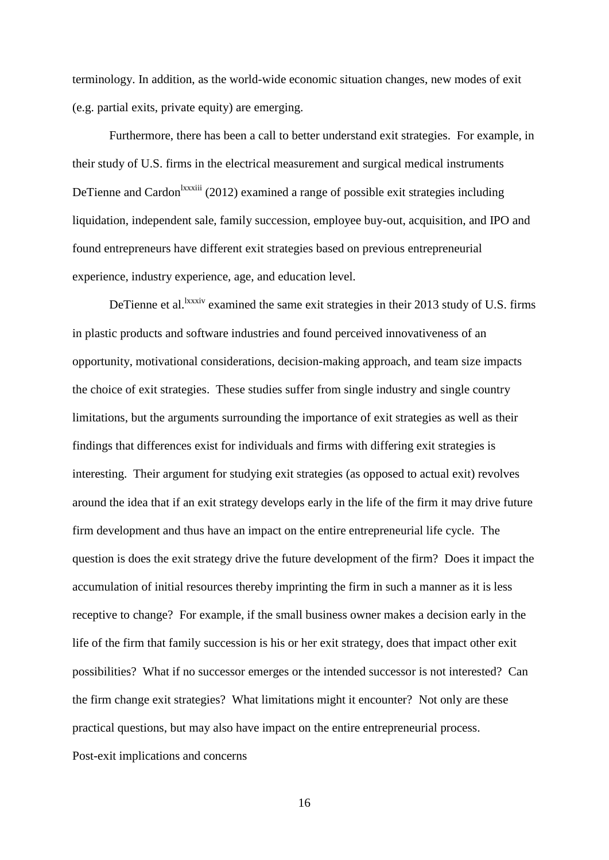terminology. In addition, as the world-wide economic situation changes, new modes of exit (e.g. partial exits, private equity) are emerging.

Furthermore, there has been a call to better understand exit strategies. For example, in their study of U.S. firms in the electrical measurement and surgical medical instruments DeTienne and Cardon<sup>lxxxiii</sup> (2012) examined a range of possible exit strategies including liquidation, independent sale, family succession, employee buy-out, acquisition, and IPO and found entrepreneurs have different exit strategies based on previous entrepreneurial experience, industry experience, age, and education level.

DeTienne et al.  $x_{\text{xx}}$  examined the same exit strategies in their 2013 study of U.S. firms in plastic products and software industries and found perceived innovativeness of an opportunity, motivational considerations, decision-making approach, and team size impacts the choice of exit strategies. These studies suffer from single industry and single country limitations, but the arguments surrounding the importance of exit strategies as well as their findings that differences exist for individuals and firms with differing exit strategies is interesting. Their argument for studying exit strategies (as opposed to actual exit) revolves around the idea that if an exit strategy develops early in the life of the firm it may drive future firm development and thus have an impact on the entire entrepreneurial life cycle. The question is does the exit strategy drive the future development of the firm? Does it impact the accumulation of initial resources thereby imprinting the firm in such a manner as it is less receptive to change? For example, if the small business owner makes a decision early in the life of the firm that family succession is his or her exit strategy, does that impact other exit possibilities? What if no successor emerges or the intended successor is not interested? Can the firm change exit strategies? What limitations might it encounter? Not only are these practical questions, but may also have impact on the entire entrepreneurial process. Post-exit implications and concerns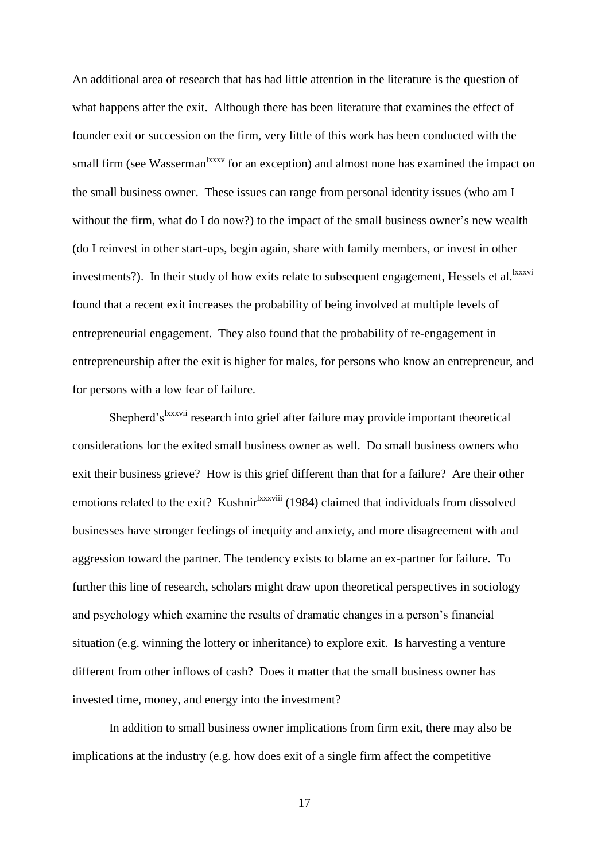An additional area of research that has had little attention in the literature is the question of what happens after the exit. Although there has been literature that examines the effect of founder exit or succession on the firm, very little of this work has been conducted with the small firm (see Wasserman<sup>lxxxv</sup> for an exception) and almost none has examined the impact on the small business owner. These issues can range from personal identity issues (who am I without the firm, what do I do now?) to the impact of the small business owner's new wealth (do I reinvest in other start-ups, begin again, share with family members, or invest in other investments?). In their study of how exits relate to subsequent engagement, Hessels et al.<sup>lxxxvi</sup> found that a recent exit increases the probability of being involved at multiple levels of entrepreneurial engagement. They also found that the probability of re-engagement in entrepreneurship after the exit is higher for males, for persons who know an entrepreneur, and for persons with a low fear of failure.

Shepherd's<sup>lxxxvii</sup> research into grief after failure may provide important theoretical considerations for the exited small business owner as well. Do small business owners who exit their business grieve? How is this grief different than that for a failure? Are their other emotions related to the exit? Kushnir<sup>lxxxviii</sup> (1984) claimed that individuals from dissolved businesses have stronger feelings of inequity and anxiety, and more disagreement with and aggression toward the partner. The tendency exists to blame an ex-partner for failure. To further this line of research, scholars might draw upon theoretical perspectives in sociology and psychology which examine the results of dramatic changes in a person's financial situation (e.g. winning the lottery or inheritance) to explore exit. Is harvesting a venture different from other inflows of cash? Does it matter that the small business owner has invested time, money, and energy into the investment?

In addition to small business owner implications from firm exit, there may also be implications at the industry (e.g. how does exit of a single firm affect the competitive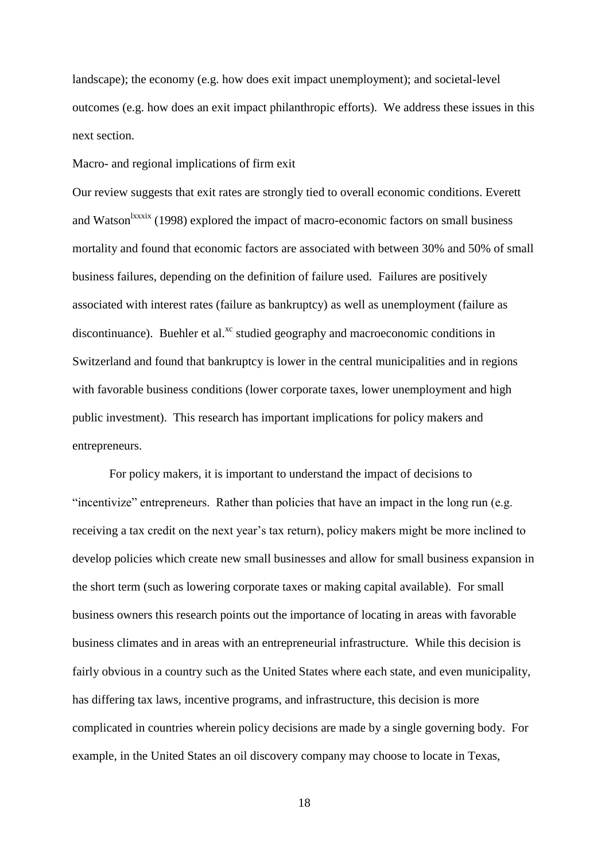landscape); the economy (e.g. how does exit impact unemployment); and societal-level outcomes (e.g. how does an exit impact philanthropic efforts). We address these issues in this next section.

Macro- and regional implications of firm exit

Our review suggests that exit rates are strongly tied to overall economic conditions. Everett and Watson<sup>lxxxix</sup> (1998) explored the impact of macro-economic factors on small business mortality and found that economic factors are associated with between 30% and 50% of small business failures, depending on the definition of failure used. Failures are positively associated with interest rates (failure as bankruptcy) as well as unemployment (failure as discontinuance). Buehler et al.<sup>xc</sup> studied geography and macroeconomic conditions in Switzerland and found that bankruptcy is lower in the central municipalities and in regions with favorable business conditions (lower corporate taxes, lower unemployment and high public investment). This research has important implications for policy makers and entrepreneurs.

For policy makers, it is important to understand the impact of decisions to "incentivize" entrepreneurs. Rather than policies that have an impact in the long run (e.g. receiving a tax credit on the next year's tax return), policy makers might be more inclined to develop policies which create new small businesses and allow for small business expansion in the short term (such as lowering corporate taxes or making capital available). For small business owners this research points out the importance of locating in areas with favorable business climates and in areas with an entrepreneurial infrastructure. While this decision is fairly obvious in a country such as the United States where each state, and even municipality, has differing tax laws, incentive programs, and infrastructure, this decision is more complicated in countries wherein policy decisions are made by a single governing body. For example, in the United States an oil discovery company may choose to locate in Texas,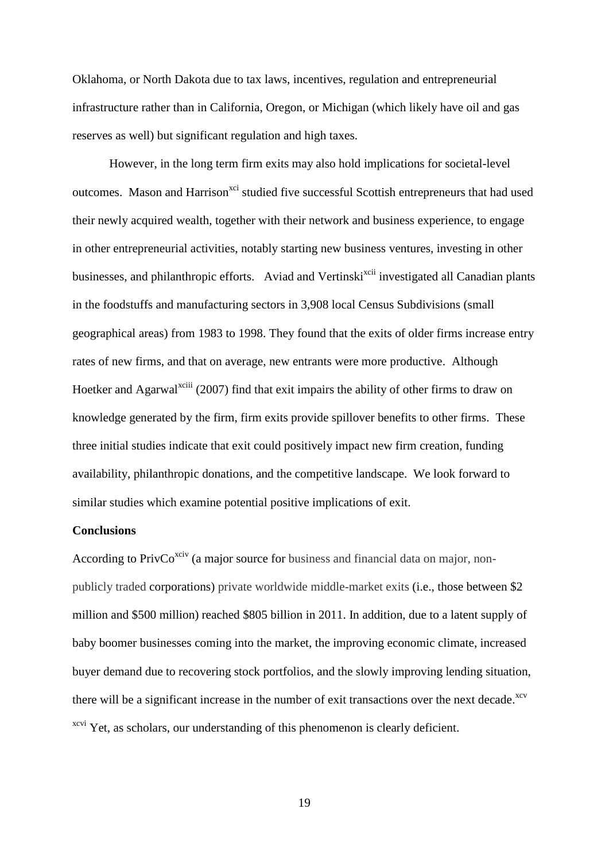Oklahoma, or North Dakota due to tax laws, incentives, regulation and entrepreneurial infrastructure rather than in California, Oregon, or Michigan (which likely have oil and gas reserves as well) but significant regulation and high taxes.

However, in the long term firm exits may also hold implications for societal-level outcomes. Mason and Harrison<sup>xci</sup> studied five successful Scottish entrepreneurs that had used their newly acquired wealth, together with their network and business experience, to engage in other entrepreneurial activities, notably starting new business ventures, investing in other businesses, and philanthropic efforts. Aviad and Vertinski<sup>xcii</sup> investigated all Canadian plants in the foodstuffs and manufacturing sectors in 3,908 local Census Subdivisions (small geographical areas) from 1983 to 1998. They found that the exits of older firms increase entry rates of new firms, and that on average, new entrants were more productive. Although Hoetker and Agarwal<sup>xciii</sup> (2007) find that exit impairs the ability of other firms to draw on knowledge generated by the firm, firm exits provide spillover benefits to other firms. These three initial studies indicate that exit could positively impact new firm creation, funding availability, philanthropic donations, and the competitive landscape. We look forward to similar studies which examine potential positive implications of exit.

#### **Conclusions**

According to Priv $Co^{x\text{civ}}$  (a major source for business and financial data on major, nonpublicly traded corporations) private worldwide middle-market exits (i.e., those between \$2 million and \$500 million) reached \$805 billion in 2011. In addition, due to a latent supply of baby boomer businesses coming into the market, the improving economic climate, increased buyer demand due to recovering stock portfolios, and the slowly improving lending situation, there will be a significant increase in the number of exit transactions over the next decade.<sup>xcv</sup> <sup>xcvi</sup> Yet, as scholars, our understanding of this phenomenon is clearly deficient.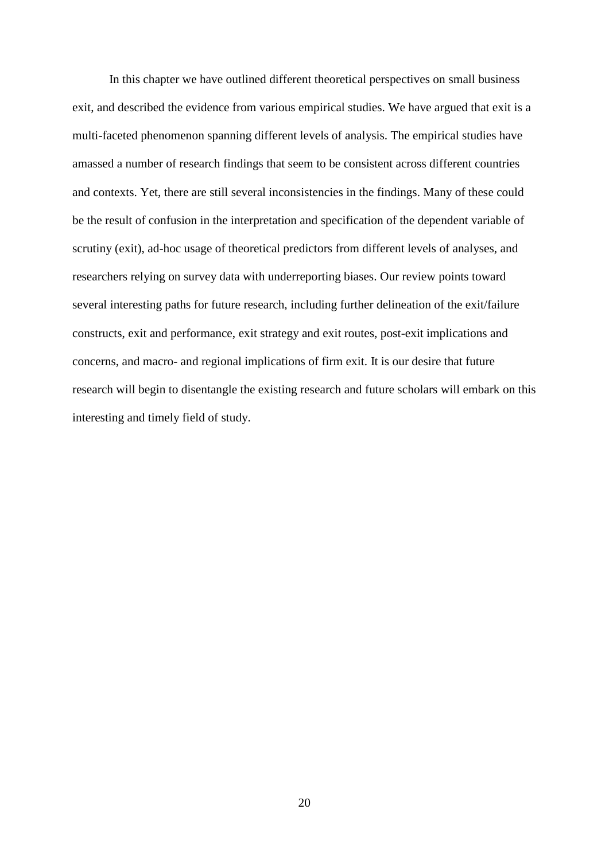In this chapter we have outlined different theoretical perspectives on small business exit, and described the evidence from various empirical studies. We have argued that exit is a multi-faceted phenomenon spanning different levels of analysis. The empirical studies have amassed a number of research findings that seem to be consistent across different countries and contexts. Yet, there are still several inconsistencies in the findings. Many of these could be the result of confusion in the interpretation and specification of the dependent variable of scrutiny (exit), ad-hoc usage of theoretical predictors from different levels of analyses, and researchers relying on survey data with underreporting biases. Our review points toward several interesting paths for future research, including further delineation of the exit/failure constructs, exit and performance, exit strategy and exit routes, post-exit implications and concerns, and macro- and regional implications of firm exit. It is our desire that future research will begin to disentangle the existing research and future scholars will embark on this interesting and timely field of study.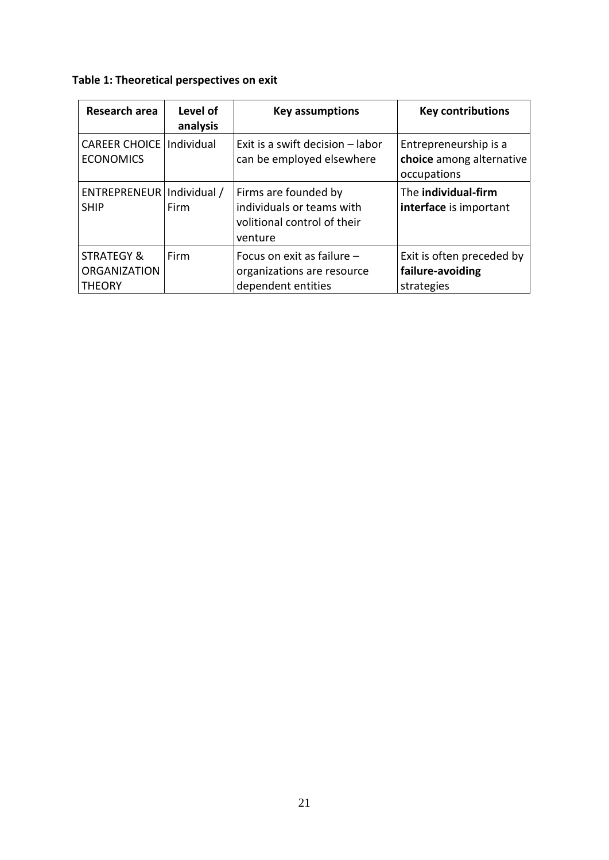## **Table 1: Theoretical perspectives on exit**

| Research area                                                 | Level of<br>analysis | <b>Key assumptions</b>                                                                      | <b>Key contributions</b>                                         |
|---------------------------------------------------------------|----------------------|---------------------------------------------------------------------------------------------|------------------------------------------------------------------|
| <b>CAREER CHOICE</b><br><b>ECONOMICS</b>                      | Individual           | Exit is a swift decision - labor<br>can be employed elsewhere                               | Entrepreneurship is a<br>choice among alternative<br>occupations |
| ENTREPRENEUR   Individual /<br><b>SHIP</b>                    | Firm                 | Firms are founded by<br>individuals or teams with<br>volitional control of their<br>venture | The individual-firm<br>interface is important                    |
| <b>STRATEGY &amp;</b><br><b>ORGANIZATION</b><br><b>THEORY</b> | Firm                 | Focus on exit as failure -<br>organizations are resource<br>dependent entities              | Exit is often preceded by<br>failure-avoiding<br>strategies      |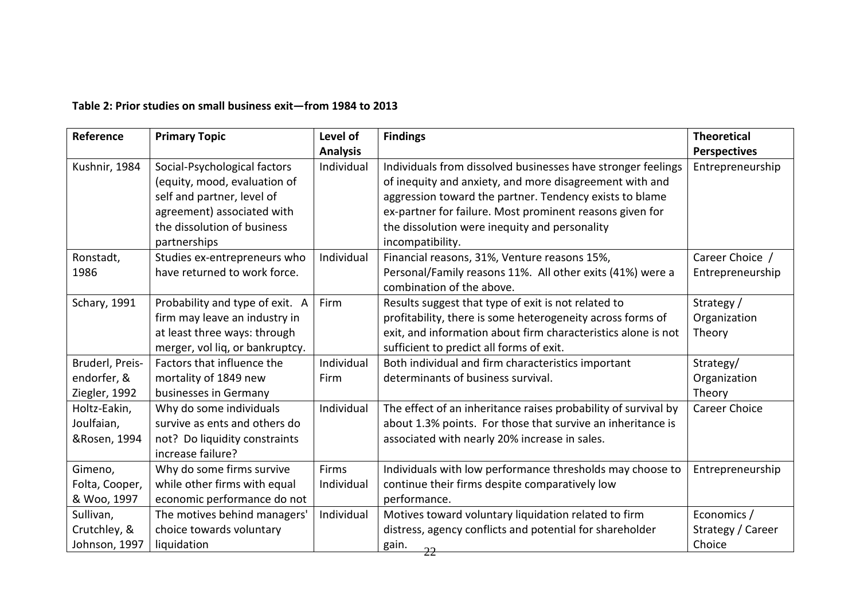### **Table 2: Prior studies on small business exit—from 1984 to 2013**

| Reference       | <b>Primary Topic</b>            | Level of        | <b>Findings</b>                                                | <b>Theoretical</b>   |
|-----------------|---------------------------------|-----------------|----------------------------------------------------------------|----------------------|
|                 |                                 | <b>Analysis</b> |                                                                | <b>Perspectives</b>  |
| Kushnir, 1984   | Social-Psychological factors    | Individual      | Individuals from dissolved businesses have stronger feelings   | Entrepreneurship     |
|                 | (equity, mood, evaluation of    |                 | of inequity and anxiety, and more disagreement with and        |                      |
|                 | self and partner, level of      |                 | aggression toward the partner. Tendency exists to blame        |                      |
|                 | agreement) associated with      |                 | ex-partner for failure. Most prominent reasons given for       |                      |
|                 | the dissolution of business     |                 | the dissolution were inequity and personality                  |                      |
|                 | partnerships                    |                 | incompatibility.                                               |                      |
| Ronstadt,       | Studies ex-entrepreneurs who    | Individual      | Financial reasons, 31%, Venture reasons 15%,                   | Career Choice /      |
| 1986            | have returned to work force.    |                 | Personal/Family reasons 11%. All other exits (41%) were a      | Entrepreneurship     |
|                 |                                 |                 | combination of the above.                                      |                      |
| Schary, 1991    | Probability and type of exit. A | Firm            | Results suggest that type of exit is not related to            | Strategy /           |
|                 | firm may leave an industry in   |                 | profitability, there is some heterogeneity across forms of     | Organization         |
|                 | at least three ways: through    |                 | exit, and information about firm characteristics alone is not  | Theory               |
|                 | merger, vol liq, or bankruptcy. |                 | sufficient to predict all forms of exit.                       |                      |
| Bruderl, Preis- | Factors that influence the      | Individual      | Both individual and firm characteristics important             | Strategy/            |
| endorfer, &     | mortality of 1849 new           | Firm            | determinants of business survival.                             | Organization         |
| Ziegler, 1992   | businesses in Germany           |                 |                                                                | Theory               |
| Holtz-Eakin,    | Why do some individuals         | Individual      | The effect of an inheritance raises probability of survival by | <b>Career Choice</b> |
| Joulfaian,      | survive as ents and others do   |                 | about 1.3% points. For those that survive an inheritance is    |                      |
| &Rosen, 1994    | not? Do liquidity constraints   |                 | associated with nearly 20% increase in sales.                  |                      |
|                 | increase failure?               |                 |                                                                |                      |
| Gimeno,         | Why do some firms survive       | Firms           | Individuals with low performance thresholds may choose to      | Entrepreneurship     |
| Folta, Cooper,  | while other firms with equal    | Individual      | continue their firms despite comparatively low                 |                      |
| & Woo, 1997     | economic performance do not     |                 | performance.                                                   |                      |
| Sullivan,       | The motives behind managers'    | Individual      | Motives toward voluntary liquidation related to firm           | Economics /          |
| Crutchley, &    | choice towards voluntary        |                 | distress, agency conflicts and potential for shareholder       | Strategy / Career    |
| Johnson, 1997   | liquidation                     |                 | gain.<br>22                                                    | Choice               |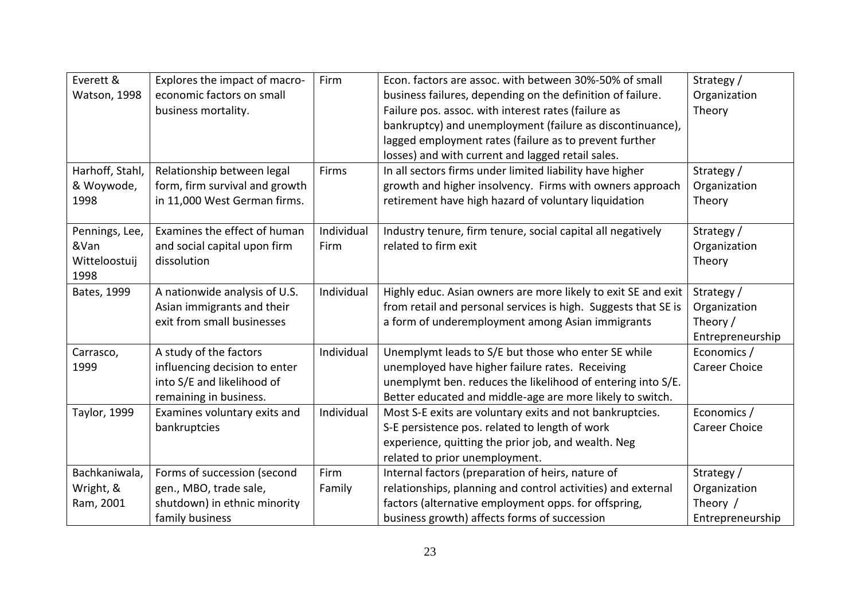| Everett &       | Explores the impact of macro-  | Firm       | Econ. factors are assoc. with between 30%-50% of small         | Strategy /           |
|-----------------|--------------------------------|------------|----------------------------------------------------------------|----------------------|
| Watson, 1998    | economic factors on small      |            | business failures, depending on the definition of failure.     | Organization         |
|                 | business mortality.            |            | Failure pos. assoc. with interest rates (failure as            | Theory               |
|                 |                                |            | bankruptcy) and unemployment (failure as discontinuance),      |                      |
|                 |                                |            | lagged employment rates (failure as to prevent further         |                      |
|                 |                                |            | losses) and with current and lagged retail sales.              |                      |
| Harhoff, Stahl, | Relationship between legal     | Firms      | In all sectors firms under limited liability have higher       | Strategy /           |
| & Woywode,      | form, firm survival and growth |            | growth and higher insolvency. Firms with owners approach       | Organization         |
| 1998            | in 11,000 West German firms.   |            | retirement have high hazard of voluntary liquidation           | Theory               |
|                 |                                |            |                                                                |                      |
| Pennings, Lee,  | Examines the effect of human   | Individual | Industry tenure, firm tenure, social capital all negatively    | Strategy /           |
| &Van            | and social capital upon firm   | Firm       | related to firm exit                                           | Organization         |
| Witteloostuij   | dissolution                    |            |                                                                | Theory               |
| 1998            |                                |            |                                                                |                      |
| Bates, 1999     | A nationwide analysis of U.S.  | Individual | Highly educ. Asian owners are more likely to exit SE and exit  | Strategy /           |
|                 | Asian immigrants and their     |            | from retail and personal services is high. Suggests that SE is | Organization         |
|                 | exit from small businesses     |            | a form of underemployment among Asian immigrants               | Theory /             |
|                 |                                |            |                                                                | Entrepreneurship     |
| Carrasco,       | A study of the factors         | Individual | Unemplymt leads to S/E but those who enter SE while            | Economics /          |
| 1999            | influencing decision to enter  |            | unemployed have higher failure rates. Receiving                | <b>Career Choice</b> |
|                 | into S/E and likelihood of     |            | unemplymt ben. reduces the likelihood of entering into S/E.    |                      |
|                 | remaining in business.         |            | Better educated and middle-age are more likely to switch.      |                      |
| Taylor, 1999    | Examines voluntary exits and   | Individual | Most S-E exits are voluntary exits and not bankruptcies.       | Economics /          |
|                 | bankruptcies                   |            | S-E persistence pos. related to length of work                 | <b>Career Choice</b> |
|                 |                                |            | experience, quitting the prior job, and wealth. Neg            |                      |
|                 |                                |            | related to prior unemployment.                                 |                      |
| Bachkaniwala,   | Forms of succession (second    | Firm       | Internal factors (preparation of heirs, nature of              | Strategy /           |
| Wright, &       | gen., MBO, trade sale,         | Family     | relationships, planning and control activities) and external   | Organization         |
| Ram, 2001       | shutdown) in ethnic minority   |            | factors (alternative employment opps. for offspring,           | Theory /             |
|                 | family business                |            | business growth) affects forms of succession                   | Entrepreneurship     |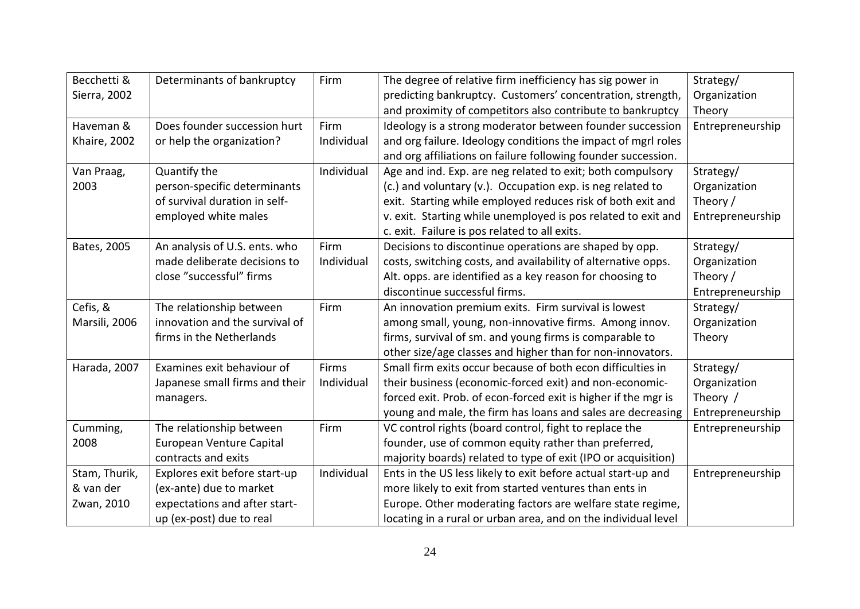| Becchetti &   | Determinants of bankruptcy     | Firm       | The degree of relative firm inefficiency has sig power in      | Strategy/        |
|---------------|--------------------------------|------------|----------------------------------------------------------------|------------------|
| Sierra, 2002  |                                |            | predicting bankruptcy. Customers' concentration, strength,     | Organization     |
|               |                                |            | and proximity of competitors also contribute to bankruptcy     | Theory           |
| Haveman &     | Does founder succession hurt   | Firm       | Ideology is a strong moderator between founder succession      | Entrepreneurship |
| Khaire, 2002  | or help the organization?      | Individual | and org failure. Ideology conditions the impact of mgrl roles  |                  |
|               |                                |            | and org affiliations on failure following founder succession.  |                  |
| Van Praag,    | Quantify the                   | Individual | Age and ind. Exp. are neg related to exit; both compulsory     | Strategy/        |
| 2003          | person-specific determinants   |            | (c.) and voluntary (v.). Occupation exp. is neg related to     | Organization     |
|               | of survival duration in self-  |            | exit. Starting while employed reduces risk of both exit and    | Theory /         |
|               | employed white males           |            | v. exit. Starting while unemployed is pos related to exit and  | Entrepreneurship |
|               |                                |            | c. exit. Failure is pos related to all exits.                  |                  |
| Bates, 2005   | An analysis of U.S. ents. who  | Firm       | Decisions to discontinue operations are shaped by opp.         | Strategy/        |
|               | made deliberate decisions to   | Individual | costs, switching costs, and availability of alternative opps.  | Organization     |
|               | close "successful" firms       |            | Alt. opps. are identified as a key reason for choosing to      | Theory /         |
|               |                                |            | discontinue successful firms.                                  | Entrepreneurship |
| Cefis, &      | The relationship between       | Firm       | An innovation premium exits. Firm survival is lowest           | Strategy/        |
| Marsili, 2006 | innovation and the survival of |            | among small, young, non-innovative firms. Among innov.         | Organization     |
|               | firms in the Netherlands       |            | firms, survival of sm. and young firms is comparable to        | Theory           |
|               |                                |            | other size/age classes and higher than for non-innovators.     |                  |
| Harada, 2007  | Examines exit behaviour of     | Firms      | Small firm exits occur because of both econ difficulties in    | Strategy/        |
|               | Japanese small firms and their | Individual | their business (economic-forced exit) and non-economic-        | Organization     |
|               | managers.                      |            | forced exit. Prob. of econ-forced exit is higher if the mgr is | Theory /         |
|               |                                |            | young and male, the firm has loans and sales are decreasing    | Entrepreneurship |
| Cumming,      | The relationship between       | Firm       | VC control rights (board control, fight to replace the         | Entrepreneurship |
| 2008          | European Venture Capital       |            | founder, use of common equity rather than preferred,           |                  |
|               | contracts and exits            |            | majority boards) related to type of exit (IPO or acquisition)  |                  |
| Stam, Thurik, | Explores exit before start-up  | Individual | Ents in the US less likely to exit before actual start-up and  | Entrepreneurship |
| & van der     | (ex-ante) due to market        |            | more likely to exit from started ventures than ents in         |                  |
| Zwan, 2010    | expectations and after start-  |            | Europe. Other moderating factors are welfare state regime,     |                  |
|               | up (ex-post) due to real       |            | locating in a rural or urban area, and on the individual level |                  |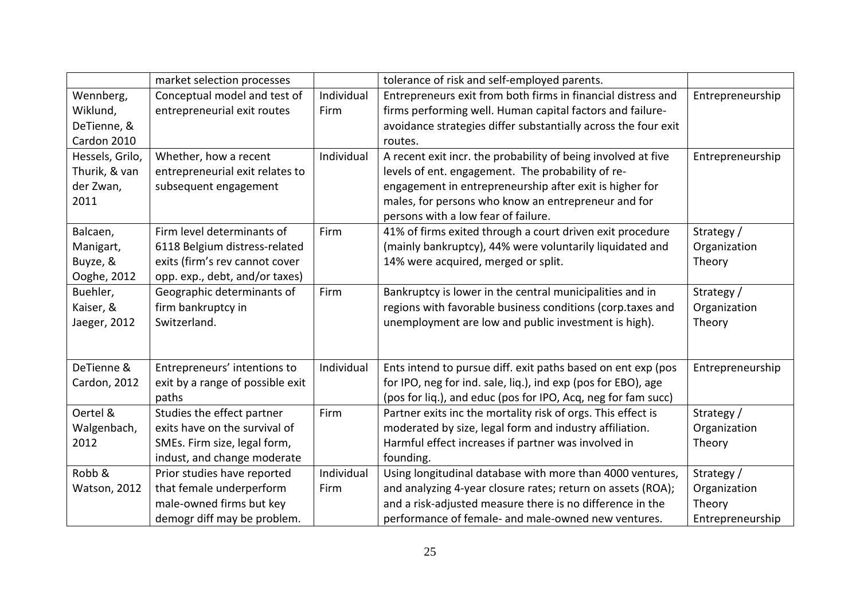|                 | market selection processes       |            | tolerance of risk and self-employed parents.                   |                  |
|-----------------|----------------------------------|------------|----------------------------------------------------------------|------------------|
| Wennberg,       | Conceptual model and test of     | Individual | Entrepreneurs exit from both firms in financial distress and   | Entrepreneurship |
| Wiklund,        | entrepreneurial exit routes      | Firm       | firms performing well. Human capital factors and failure-      |                  |
| DeTienne, &     |                                  |            | avoidance strategies differ substantially across the four exit |                  |
| Cardon 2010     |                                  |            | routes.                                                        |                  |
| Hessels, Grilo, | Whether, how a recent            | Individual | A recent exit incr. the probability of being involved at five  | Entrepreneurship |
| Thurik, & van   | entrepreneurial exit relates to  |            | levels of ent. engagement. The probability of re-              |                  |
| der Zwan,       | subsequent engagement            |            | engagement in entrepreneurship after exit is higher for        |                  |
| 2011            |                                  |            | males, for persons who know an entrepreneur and for            |                  |
|                 |                                  |            | persons with a low fear of failure.                            |                  |
| Balcaen,        | Firm level determinants of       | Firm       | 41% of firms exited through a court driven exit procedure      | Strategy /       |
| Manigart,       | 6118 Belgium distress-related    |            | (mainly bankruptcy), 44% were voluntarily liquidated and       | Organization     |
| Buyze, &        | exits (firm's rev cannot cover   |            | 14% were acquired, merged or split.                            | Theory           |
| Ooghe, 2012     | opp. exp., debt, and/or taxes)   |            |                                                                |                  |
| Buehler,        | Geographic determinants of       | Firm       | Bankruptcy is lower in the central municipalities and in       | Strategy /       |
| Kaiser, &       | firm bankruptcy in               |            | regions with favorable business conditions (corp.taxes and     | Organization     |
| Jaeger, 2012    | Switzerland.                     |            | unemployment are low and public investment is high).           | Theory           |
|                 |                                  |            |                                                                |                  |
|                 |                                  |            |                                                                |                  |
| DeTienne &      | Entrepreneurs' intentions to     | Individual | Ents intend to pursue diff. exit paths based on ent exp (pos   | Entrepreneurship |
| Cardon, 2012    | exit by a range of possible exit |            | for IPO, neg for ind. sale, liq.), ind exp (pos for EBO), age  |                  |
|                 | paths                            |            | (pos for liq.), and educ (pos for IPO, Acq, neg for fam succ)  |                  |
| Oertel &        | Studies the effect partner       | Firm       | Partner exits inc the mortality risk of orgs. This effect is   | Strategy /       |
| Walgenbach,     | exits have on the survival of    |            | moderated by size, legal form and industry affiliation.        | Organization     |
| 2012            | SMEs. Firm size, legal form,     |            | Harmful effect increases if partner was involved in            | Theory           |
|                 | indust, and change moderate      |            | founding.                                                      |                  |
| Robb &          | Prior studies have reported      | Individual | Using longitudinal database with more than 4000 ventures,      | Strategy /       |
| Watson, 2012    | that female underperform         | Firm       | and analyzing 4-year closure rates; return on assets (ROA);    | Organization     |
|                 | male-owned firms but key         |            | and a risk-adjusted measure there is no difference in the      | Theory           |
|                 | demogr diff may be problem.      |            | performance of female- and male-owned new ventures.            | Entrepreneurship |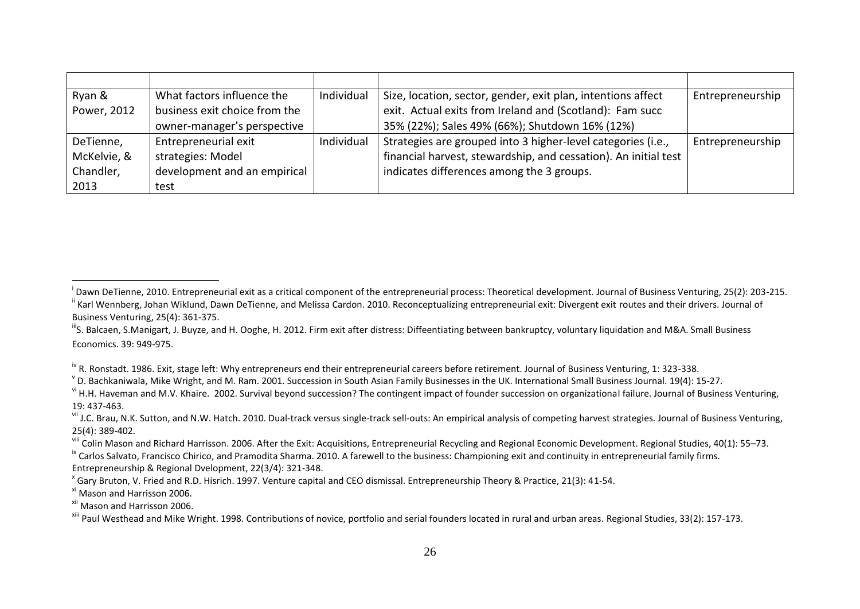| Ryan &      | What factors influence the    | Individual | Size, location, sector, gender, exit plan, intentions affect    | Entrepreneurship |
|-------------|-------------------------------|------------|-----------------------------------------------------------------|------------------|
| Power, 2012 | business exit choice from the |            | exit. Actual exits from Ireland and (Scotland): Fam succ        |                  |
|             | owner-manager's perspective   |            | 35% (22%); Sales 49% (66%); Shutdown 16% (12%)                  |                  |
| DeTienne,   | Entrepreneurial exit          | Individual | Strategies are grouped into 3 higher-level categories (i.e.,    | Entrepreneurship |
| McKelvie, & | strategies: Model             |            | financial harvest, stewardship, and cessation). An initial test |                  |
| Chandler,   | development and an empirical  |            | indicates differences among the 3 groups.                       |                  |
| 2013        | test                          |            |                                                                 |                  |

<sup>iv</sup> R. Ronstadt. 1986. Exit, stage left: Why entrepreneurs end their entrepreneurial careers before retirement. Journal of Business Venturing, 1: 323-338.

 $\overline{a}$ 

<sup>&</sup>lt;sup>i</sup> Dawn DeTienne, 2010. Entrepreneurial exit as a critical component of the entrepreneurial process: Theoretical development. Journal of Business Venturing, 25(2): 203-215. ii Karl Wennberg, Johan Wiklund, Dawn DeTienne, and Melissa Cardon. 2010. Reconceptualizing entrepreneurial exit: Divergent exit routes and their drivers. Journal of Business Venturing, 25(4): 361-375.

IIIS. Balcaen, S.Manigart, J. Buyze, and H. Ooghe, H. 2012. Firm exit after distress: Diffeentiating between bankruptcy, voluntary liquidation and M&A. Small Business Economics. 39: 949-975.

 $^{\texttt{v}}$  D. Bachkaniwala, Mike Wright, and M. Ram. 2001. Succession in South Asian Family Businesses in the UK. International Small Business Journal. 19(4): 15-27.

vi H.H. Haveman and M.V. Khaire. 2002. Survival beyond succession? The contingent impact of founder succession on organizational failure. Journal of Business Venturing, 19: 437-463.

<sup>&</sup>lt;sup>vii</sup> J.C. Brau, N.K. Sutton, and N.W. Hatch. 2010. Dual-track versus single-track sell-outs: An empirical analysis of competing harvest strategies. Journal of Business Venturing, 25(4): 389-402.

<sup>&</sup>lt;sup>viii</sup> Colin Mason and Richard Harrisson. 2006. After the Exit: Acquisitions, Entrepreneurial Recycling and Regional Economic Development. Regional Studies, 40(1): 55–73.

<sup>&</sup>lt;sup>ix</sup> Carlos Salvato, Francisco Chirico, and Pramodita Sharma. 2010. A farewell to the business: Championing exit and continuity in entrepreneurial family firms. Entrepreneurship & Regional Dvelopment, 22(3/4): 321-348.

<sup>&</sup>lt;sup>x</sup> Gary Bruton, V. Fried and R.D. Hisrich. 1997. Venture capital and CEO dismissal. Entrepreneurship Theory & Practice, 21(3): 41-54.

xi Mason and Harrisson 2006.

<sup>&</sup>lt;sup>xii</sup> Mason and Harrisson 2006.

<sup>&</sup>lt;sup>xiii</sup> Paul Westhead and Mike Wright. 1998. Contributions of novice, portfolio and serial founders located in rural and urban areas. Regional Studies, 33(2): 157-173.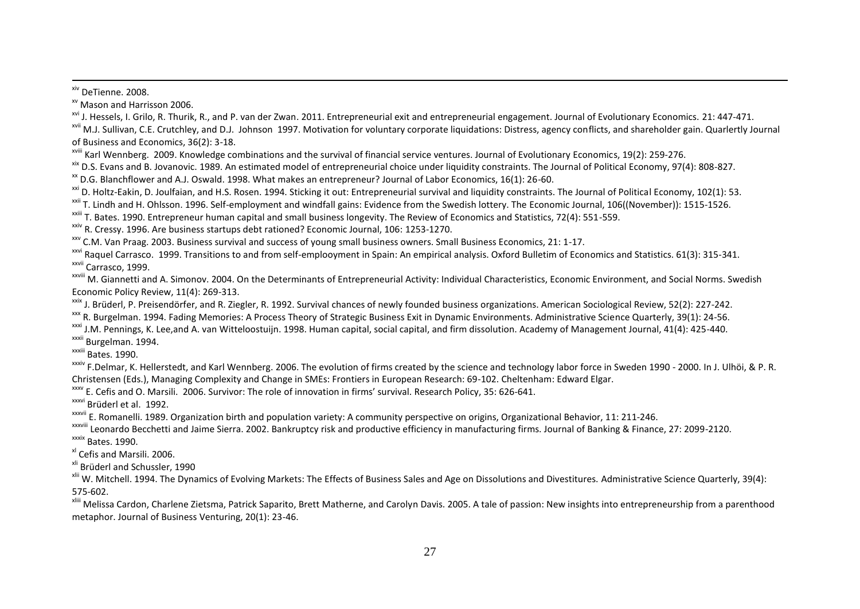xiv DeTienne. 2008.

 $\overline{a}$ 

xv Mason and Harrisson 2006.

<sup>xvi</sup> J. Hessels, I. Grilo, R. Thurik, R., and P. van der Zwan. 2011. Entrepreneurial exit and entrepreneurial engagement. Journal of Evolutionary Economics. 21: 447-471.

<sup>xvii</sup> M.J. Sullivan, C.E. Crutchley, and D.J. Johnson 1997. Motivation for voluntary corporate liquidations: Distress, agency conflicts, and shareholder gain. Quarlertly Journal of Business and Economics, 36(2): 3-18.

<sup>xviii</sup> Karl Wennberg. 2009. Knowledge combinations and the survival of financial service ventures. Journal of Evolutionary Economics, 19(2): 259-276.

xix D.S. Evans and B. Jovanovic. 1989. An estimated model of entrepreneurial choice under liquidity constraints. The Journal of Political Economy, 97(4): 808-827.

 $*$  D.G. Blanchflower and A.J. Oswald. 1998. What makes an entrepreneur? Journal of Labor Economics, 16(1): 26-60.

<sup>xxi</sup> D. Holtz-Eakin, D. Joulfaian, and H.S. Rosen. 1994. Sticking it out: Entrepreneurial survival and liquidity constraints. The Journal of Political Economy, 102(1): 53.

<sup>xxii</sup> T. Lindh and H. Ohlsson. 1996. Self-employment and windfall gains: Evidence from the Swedish lottery. The Economic Journal, 106((November)): 1515-1526.

xxiii T. Bates. 1990. Entrepreneur human capital and small business longevity. The Review of Economics and Statistics, 72(4): 551-559.

xxiv R. Cressy. 1996. Are business startups debt rationed? Economic Journal, 106: 1253-1270.

xxv C.M. Van Praag. 2003. Business survival and success of young small business owners. Small Business Economics, 21: 1-17.

xxvi Raquel Carrasco. 1999. Transitions to and from self-emplooyment in Spain: An empirical analysis. Oxford Bulletim of Economics and Statistics. 61(3): 315-341. xxvii Carrasco, 1999.

xxviii M. Giannetti and A. Simonov. 2004. On the Determinants of Entrepreneurial Activity: Individual Characteristics, Economic Environment, and Social Norms. Swedish Economic Policy Review, 11(4): 269-313.

xxix J. Brüderl, P. Preisendörfer, and R. Ziegler, R. 1992. Survival chances of newly founded business organizations. American Sociological Review, 52(2): 227-242.

xxx R. Burgelman. 1994. Fading Memories: A Process Theory of Strategic Business Exit in Dynamic Environments. Administrative Science Quarterly, 39(1): 24-56.

xxxi J.M. Pennings, K. Lee,and A. van Witteloostuijn. 1998. Human capital, social capital, and firm dissolution. Academy of Management Journal, 41(4): 425-440. xxxii Burgelman. 1994.

xxxiii Bates. 1990.

xxiv F.Delmar, K. Hellerstedt, and Karl Wennberg. 2006. The evolution of firms created by the science and technology labor force in Sweden 1990 - 2000. In J. Ulhöi, & P. R. Christensen (Eds.), Managing Complexity and Change in SMEs: Frontiers in European Research: 69-102. Cheltenham: Edward Elgar.

xxxv E. Cefis and O. Marsili. 2006. Survivor: The role of innovation in firms' survival. Research Policy, 35: 626-641.

xxxvi Brüderl et al. 1992.

<sup>xxxvii</sup> E. Romanelli. 1989. Organization birth and population variety: A community perspective on origins, Organizational Behavior, 11: 211-246.

xxxviii Leonardo Becchetti and Jaime Sierra. 2002. Bankruptcy risk and productive efficiency in manufacturing firms. Journal of Banking & Finance, 27: 2099-2120.

xxxix Bates. 1990.

x<sup>l</sup> Cefis and Marsili. 2006.

<sup>xli</sup> Brüderl and Schussler, 1990

<sup>xlii</sup> W. Mitchell. 1994. The Dynamics of Evolving Markets: The Effects of Business Sales and Age on Dissolutions and Divestitures. Administrative Science Quarterly, 39(4): 575-602.

<sup>xliii</sup> Melissa Cardon. Charlene Zietsma, Patrick Saparito, Brett Matherne, and Carolyn Davis. 2005. A tale of passion: New insights into entrepreneurship from a parenthood metaphor. Journal of Business Venturing, 20(1): 23-46.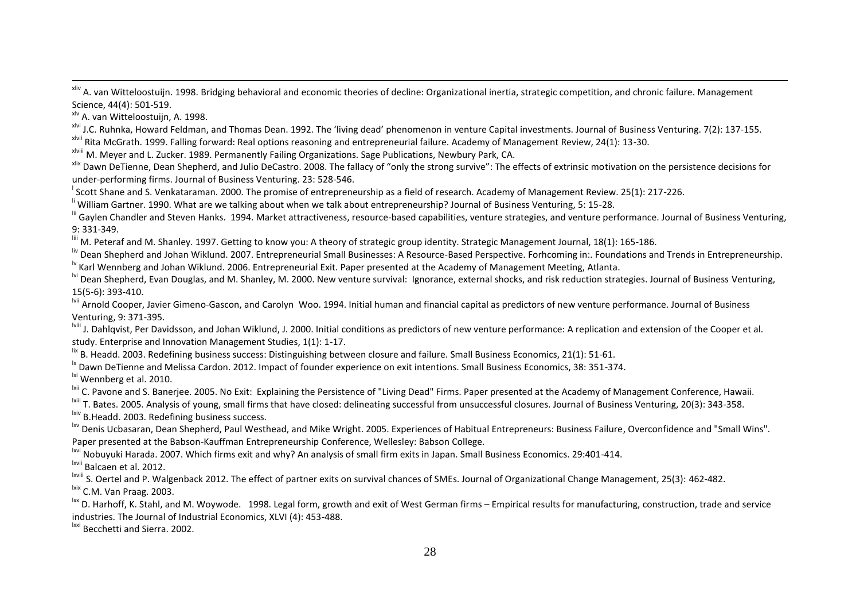<sup>xliv</sup> A. van Witteloostuijn. 1998. Bridging behavioral and economic theories of decline: Organizational inertia, strategic competition, and chronic failure. Management Science, 44(4): 501-519.

xlv A. van Witteloostuijn, A. 1998.

 $\overline{a}$ 

x<sup>lvi</sup> J.C. Ruhnka, Howard Feldman, and Thomas Dean. 1992. The 'living dead' phenomenon in venture Capital investments. Journal of Business Venturing. 7(2): 137-155.

x<sup>Ivii</sup> Rita McGrath. 1999. Falling forward: Real options reasoning and entrepreneurial failure. Academy of Management Review, 24(1): 13-30.

xlviii M. Meyer and L. Zucker. 1989. Permanently Failing Organizations. Sage Publications, Newbury Park, CA.

xlix Dawn DeTienne, Dean Shepherd, and Julio DeCastro. 2008. The fallacy of "only the strong survive": The effects of extrinsic motivation on the persistence decisions for under-performing firms. Journal of Business Venturing. 23: 528-546.

<sup>I</sup> Scott Shane and S. Venkataraman. 2000. The promise of entrepreneurship as a field of research. Academy of Management Review. 25(1): 217-226.

<sup>li</sup> William Gartner. 1990. What are we talking about when we talk about entrepreneurship? Journal of Business Venturing, 5: 15-28.

lii Gavlen Chandler and Steven Hanks. 1994. Market attractiveness, resource-based capabilities, venture strategies, and venture performance. Journal of Business Venturing, 9: 331-349.

liii M. Peteraf and M. Shanley. 1997. Getting to know you: A theory of strategic group identity. Strategic Management Journal, 18(1): 165-186.

liv Dean Shepherd and Johan Wiklund. 2007. Entrepreneurial Small Businesses: A Resource-Based Perspective. Forhcoming in:. Foundations and Trends in Entrepreneurship.

<sup>1v</sup> Karl Wennberg and Johan Wiklund. 2006. Entrepreneurial Exit. Paper presented at the Academy of Management Meeting, Atlanta.

<sup>Ivi</sup> Dean Shepherd, Evan Douglas, and M. Shanley, M. 2000. New venture survival: Ignorance, external shocks, and risk reduction strategies. Journal of Business Venturing, 15(5-6): 393-410.

<sup>Ivii</sup> Arnold Cooper, Javier Gimeno-Gascon, and Carolyn Woo. 1994. Initial human and financial capital as predictors of new venture performance. Journal of Business Venturing, 9: 371-395.

<sup>Iviii</sup> J. Dahlqvist, Per Davidsson, and Johan Wiklund, J. 2000. Initial conditions as predictors of new venture performance: A replication and extension of the Cooper et al. study. Enterprise and Innovation Management Studies, 1(1): 1-17.

lix B. Headd. 2003. Redefining business success: Distinguishing between closure and failure. Small Business Economics, 21(1): 51-61.

<sup>1x</sup> Dawn DeTienne and Melissa Cardon. 2012. Impact of founder experience on exit intentions. Small Business Economics, 38: 351-374.

<sup>lxi</sup> Wennberg et al. 2010.

<sup>Ixii</sup> C. Pavone and S. Baneriee. 2005. No Exit: Explaining the Persistence of "Living Dead" Firms. Paper presented at the Academy of Management Conference. Hawaii.

<sup>Ixiii</sup> T. Bates. 2005. Analysis of young, small firms that have closed: delineating successful from unsuccessful closures. Journal of Business Venturing, 20(3): 343-358.

<sup>Ixiv</sup> B.Headd. 2003. Redefining business success.

<sup>lxv</sup> Denis Ucbasaran. Dean Shepherd. Paul Westhead, and Mike Wright. 2005. Experiences of Habitual Entrepreneurs: Business Failure, Overconfidence and "Small Wins". Paper presented at the Babson-Kauffman Entrepreneurship Conference, Wellesley: Babson College.

<sup>Ixvi</sup> Nobuvuki Harada. 2007. Which firms exit and why? An analysis of small firm exits in Japan. Small Business Economics. 29:401-414.

lxvii Balcaen et al. 2012.

<sup>Ixviii</sup> S. Oertel and P. Walgenback 2012. The effect of partner exits on survival chances of SMEs. Journal of Organizational Change Management, 25(3): 462-482.

lxix C.M. Van Praag. 2003.

<sup>lxx</sup> D. Harhoff, K. Stahl, and M. Woywode. 1998. Legal form, growth and exit of West German firms – Empirical results for manufacturing, construction, trade and service industries. The Journal of Industrial Economics, XLVI (4): 453-488.

lxxi Becchetti and Sierra. 2002.